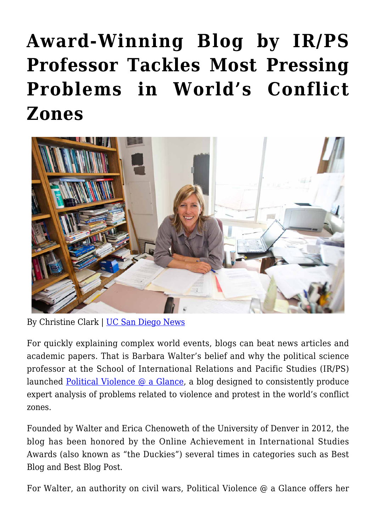## **[Award-Winning Blog by IR/PS](https://gpsnews.ucsd.edu/award-winning-blog-by-ir-ps-professor-tackles-most-pressing-problems-in-worlds-conflict-zones/) [Professor Tackles Most Pressing](https://gpsnews.ucsd.edu/award-winning-blog-by-ir-ps-professor-tackles-most-pressing-problems-in-worlds-conflict-zones/) [Problems in World's Conflict](https://gpsnews.ucsd.edu/award-winning-blog-by-ir-ps-professor-tackles-most-pressing-problems-in-worlds-conflict-zones/) [Zones](https://gpsnews.ucsd.edu/award-winning-blog-by-ir-ps-professor-tackles-most-pressing-problems-in-worlds-conflict-zones/)**



By Christine Clark | [UC San Diego News](https://ucsdnews.ucsd.edu/feature/award_winning_blog_by_ir_ps_professor_tackles_most_pressing_problems)

For quickly explaining complex world events, blogs can beat news articles and academic papers. That is Barbara Walter's belief and why the political science professor at the School of International Relations and Pacific Studies (IR/PS) launched Political Violence  $\omega$  a Glance, a blog designed to consistently produce expert analysis of problems related to violence and protest in the world's conflict zones.

Founded by Walter and Erica Chenoweth of the University of Denver in 2012, the blog has been honored by the Online Achievement in International Studies Awards (also known as "the Duckies") several times in categories such as Best Blog and Best Blog Post.

For Walter, an authority on civil wars, Political Violence @ a Glance offers her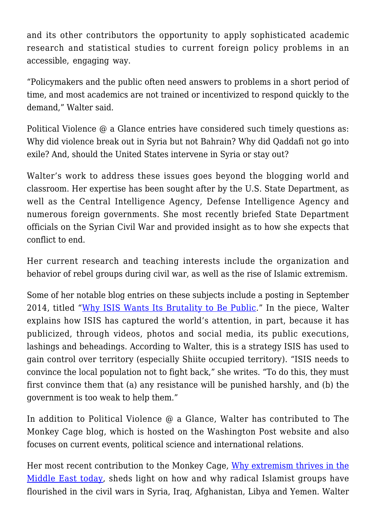and its other contributors the opportunity to apply sophisticated academic research and statistical studies to current foreign policy problems in an accessible, engaging way.

"Policymakers and the public often need answers to problems in a short period of time, and most academics are not trained or incentivized to respond quickly to the demand," Walter said.

Political Violence @ a Glance entries have considered such timely questions as: Why did violence break out in Syria but not Bahrain? Why did Qaddafi not go into exile? And, should the United States intervene in Syria or stay out?

Walter's work to address these issues goes beyond the blogging world and classroom. Her expertise has been sought after by the U.S. State Department, as well as the Central Intelligence Agency, Defense Intelligence Agency and numerous foreign governments. She most recently briefed State Department officials on the Syrian Civil War and provided insight as to how she expects that conflict to end.

Her current research and teaching interests include the organization and behavior of rebel groups during civil war, as well as the rise of Islamic extremism.

Some of her notable blog entries on these subjects include a posting in September 2014, titled "[Why ISIS Wants Its Brutality to Be Public.](http://politicalviolenceataglance.org/2014/09/11/why-isis-wants-its-brutality-to-be-public/)" In the piece, Walter explains how ISIS has captured the world's attention, in part, because it has publicized, through videos, photos and social media, its public executions, lashings and beheadings. According to Walter, this is a strategy ISIS has used to gain control over territory (especially Shiite occupied territory). "ISIS needs to convince the local population not to fight back," she writes. "To do this, they must first convince them that (a) any resistance will be punished harshly, and (b) the government is too weak to help them."

In addition to Political Violence @ a Glance, Walter has contributed to The Monkey Cage blog, which is hosted on the Washington Post website and also focuses on current events, political science and international relations.

Her most recent contribution to the Monkey Cage, [Why extremism thrives in the](http://www.washingtonpost.com/blogs/monkey-cage/wp/2015/02/12/why-extremism-thrives-in-the-middle-east-today/) [Middle East today](http://www.washingtonpost.com/blogs/monkey-cage/wp/2015/02/12/why-extremism-thrives-in-the-middle-east-today/), sheds light on how and why radical Islamist groups have flourished in the civil wars in Syria, Iraq, Afghanistan, Libya and Yemen. Walter